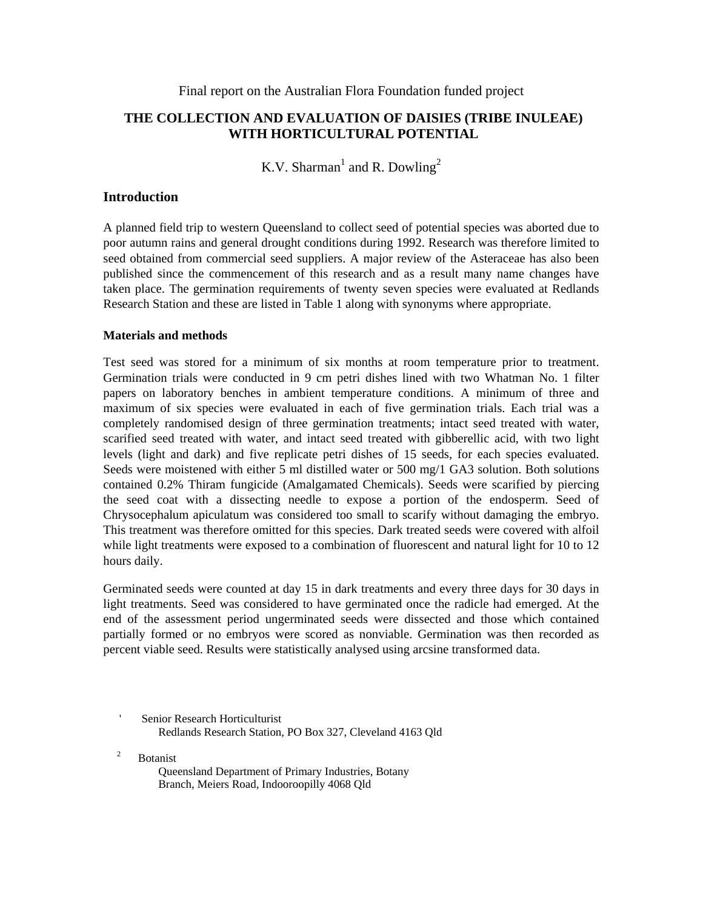Final report on the Australian Flora Foundation funded project

# **THE COLLECTION AND EVALUATION OF DAISIES (TRIBE INULEAE) WITH HORTICULTURAL POTENTIAL**

K.V. Sharman<sup>1</sup> and R. Dowling<sup>2</sup>

# **Introduction**

A planned field trip to western Queensland to collect seed of potential species was aborted due to poor autumn rains and general drought conditions during 1992. Research was therefore limited to seed obtained from commercial seed suppliers. A major review of the Asteraceae has also been published since the commencement of this research and as a result many name changes have taken place. The germination requirements of twenty seven species were evaluated at Redlands Research Station and these are listed in Table 1 along with synonyms where appropriate.

## **Materials and methods**

Test seed was stored for a minimum of six months at room temperature prior to treatment. Germination trials were conducted in 9 cm petri dishes lined with two Whatman No. 1 filter papers on laboratory benches in ambient temperature conditions. A minimum of three and maximum of six species were evaluated in each of five germination trials. Each trial was a completely randomised design of three germination treatments; intact seed treated with water, scarified seed treated with water, and intact seed treated with gibberellic acid, with two light levels (light and dark) and five replicate petri dishes of 15 seeds, for each species evaluated. Seeds were moistened with either 5 ml distilled water or 500 mg/1 GA3 solution. Both solutions contained 0.2% Thiram fungicide (Amalgamated Chemicals). Seeds were scarified by piercing the seed coat with a dissecting needle to expose a portion of the endosperm. Seed of Chrysocephalum apiculatum was considered too small to scarify without damaging the embryo. This treatment was therefore omitted for this species. Dark treated seeds were covered with alfoil while light treatments were exposed to a combination of fluorescent and natural light for 10 to 12 hours daily.

Germinated seeds were counted at day 15 in dark treatments and every three days for 30 days in light treatments. Seed was considered to have germinated once the radicle had emerged. At the end of the assessment period ungerminated seeds were dissected and those which contained partially formed or no embryos were scored as nonviable. Germination was then recorded as percent viable seed. Results were statistically analysed using arcsine transformed data.

2 Botanist

> Queensland Department of Primary Industries, Botany Branch, Meiers Road, Indooroopilly 4068 Qld

<sup>&#</sup>x27; Senior Research Horticulturist Redlands Research Station, PO Box 327, Cleveland 4163 Qld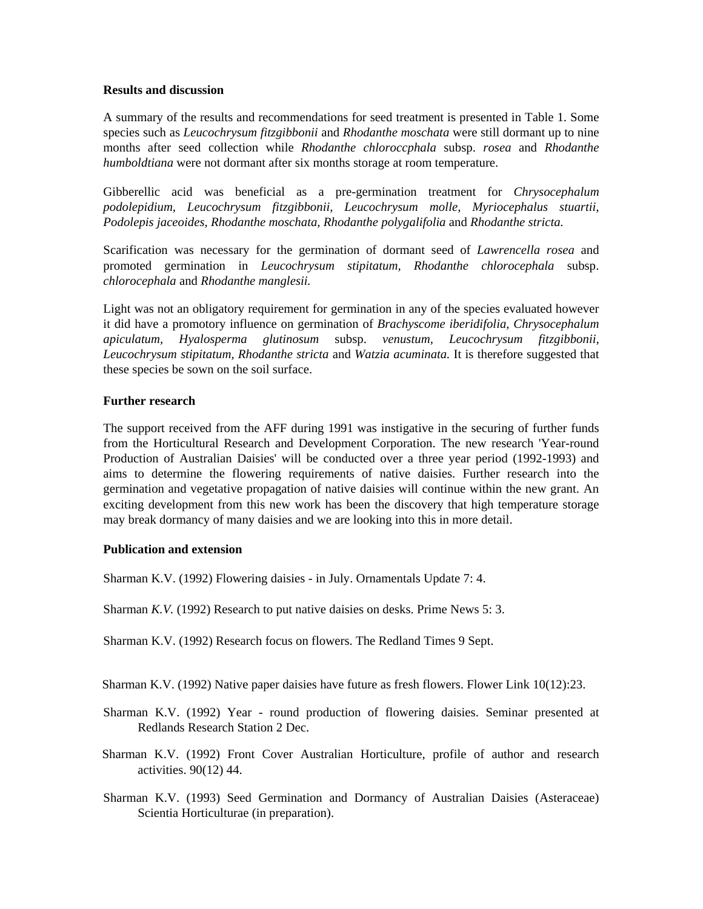#### **Results and discussion**

A summary of the results and recommendations for seed treatment is presented in Table 1. Some species such as *Leucochrysum fitzgibbonii* and *Rhodanthe moschata* were still dormant up to nine months after seed collection while *Rhodanthe chloroccphala* subsp. *rosea* and *Rhodanthe humboldtiana* were not dormant after six months storage at room temperature.

Gibberellic acid was beneficial as a pre-germination treatment for *Chrysocephalum podolepidium, Leucochrysum fitzgibbonii, Leucochrysum molle, Myriocephalus stuartii, Podolepis jaceoides, Rhodanthe moschata, Rhodanthe polygalifolia* and *Rhodanthe stricta.*

Scarification was necessary for the germination of dormant seed of *Lawrencella rosea* and promoted germination in *Leucochrysum stipitatum, Rhodanthe chlorocephala* subsp. *chlorocephala* and *Rhodanthe manglesii.*

Light was not an obligatory requirement for germination in any of the species evaluated however it did have a promotory influence on germination of *Brachyscome iberidifolia, Chrysocephalum apiculatum, Hyalosperma glutinosum* subsp. *venustum, Leucochrysum fitzgibbonii, Leucochrysum stipitatum, Rhodanthe stricta* and *Watzia acuminata.* It is therefore suggested that these species be sown on the soil surface.

## **Further research**

The support received from the AFF during 1991 was instigative in the securing of further funds from the Horticultural Research and Development Corporation. The new research 'Year-round Production of Australian Daisies' will be conducted over a three year period (1992-1993) and aims to determine the flowering requirements of native daisies. Further research into the germination and vegetative propagation of native daisies will continue within the new grant. An exciting development from this new work has been the discovery that high temperature storage may break dormancy of many daisies and we are looking into this in more detail.

## **Publication and extension**

Sharman K.V. (1992) Flowering daisies - in July. Ornamentals Update 7: 4.

Sharman *K.V.* (1992) Research to put native daisies on desks. Prime News 5: 3.

Sharman K.V. (1992) Research focus on flowers. The Redland Times 9 Sept.

Sharman K.V. (1992) Native paper daisies have future as fresh flowers. Flower Link 10(12):23.

- Sharman K.V. (1992) Year round production of flowering daisies. Seminar presented at Redlands Research Station 2 Dec.
- Sharman K.V. (1992) Front Cover Australian Horticulture, profile of author and research activities. 90(12) 44.
- Sharman K.V. (1993) Seed Germination and Dormancy of Australian Daisies (Asteraceae) Scientia Horticulturae (in preparation).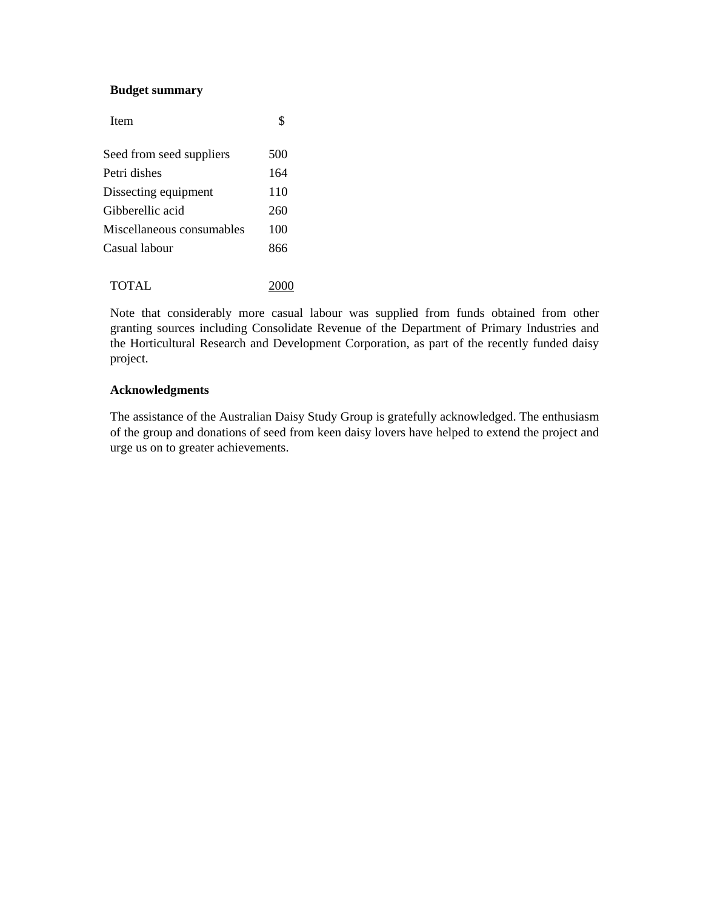#### **Budget summary**

| <b>Item</b>               | \$  |
|---------------------------|-----|
| Seed from seed suppliers  | 500 |
| Petri dishes              | 164 |
| Dissecting equipment      | 110 |
| Gibberellic acid          | 260 |
| Miscellaneous consumables | 100 |
| Casual labour             | 866 |
|                           |     |
| <b>TOTAL</b>              |     |

Note that considerably more casual labour was supplied from funds obtained from other granting sources including Consolidate Revenue of the Department of Primary Industries and the Horticultural Research and Development Corporation, as part of the recently funded daisy project.

#### **Acknowledgments**

The assistance of the Australian Daisy Study Group is gratefully acknowledged. The enthusiasm of the group and donations of seed from keen daisy lovers have helped to extend the project and urge us on to greater achievements.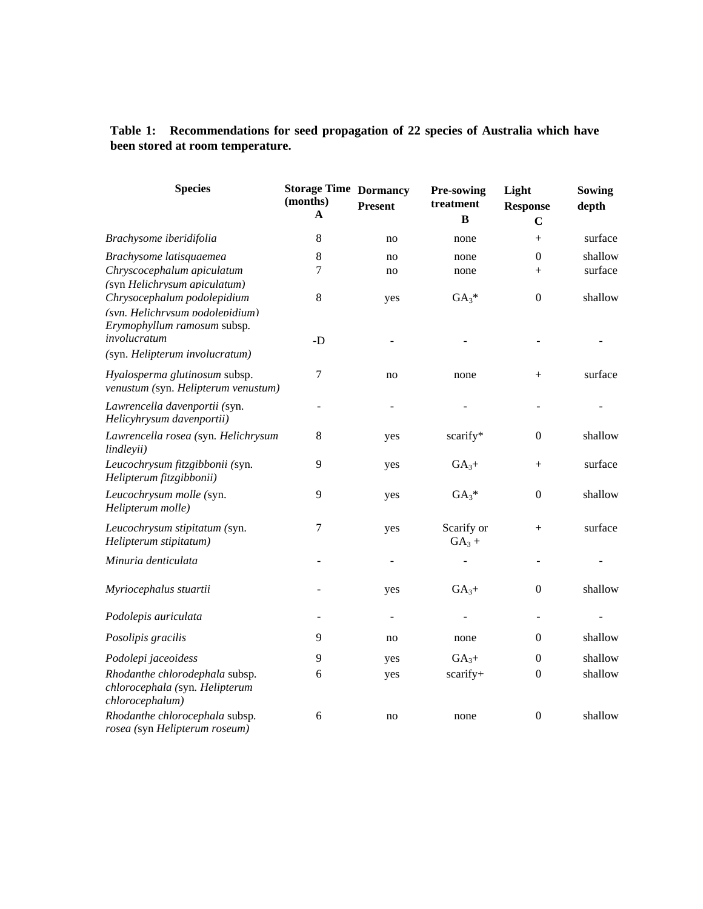# **Table 1: Recommendations for seed propagation of 22 species of Australia which have been stored at room temperature.**

| <b>Species</b>                                                                                                                | <b>Storage Time Dormancy</b><br>(months)<br>A | <b>Present</b>           | Pre-sowing<br>treatment<br>B | Light<br><b>Response</b><br>$\mathbf C$ | Sowing<br>depth    |
|-------------------------------------------------------------------------------------------------------------------------------|-----------------------------------------------|--------------------------|------------------------------|-----------------------------------------|--------------------|
| Brachysome iberidifolia                                                                                                       | 8                                             | no                       | none                         | $^{+}$                                  | surface            |
| Brachysome latisquaemea<br>Chryscocephalum apiculatum                                                                         | 8<br>7                                        | no<br>no                 | none<br>none                 | $\boldsymbol{0}$<br>$^{+}$              | shallow<br>surface |
| (syn Helichrysum apiculatum)<br>Chrysocephalum podolepidium<br>(svn. Helichrvsum podolenidium)<br>Erymophyllum ramosum subsp. | 8                                             | yes                      | $GA_3*$                      | $\boldsymbol{0}$                        | shallow            |
| involucratum<br>(syn. Helipterum involucratum)                                                                                | -D                                            |                          |                              |                                         |                    |
| Hyalosperma glutinosum subsp.<br>venustum (syn. Helipterum venustum)                                                          | 7                                             | no                       | none                         | $+$                                     | surface            |
| Lawrencella davenportii (syn.<br>Helicyhrysum davenportii)                                                                    |                                               |                          |                              |                                         |                    |
| Lawrencella rosea (syn. Helichrysum<br>lindleyii)                                                                             | $8\,$                                         | yes                      | scarify*                     | $\boldsymbol{0}$                        | shallow            |
| Leucochrysum fitzgibbonii (syn.<br>Helipterum fitzgibbonii)                                                                   | 9                                             | yes                      | $GA3 +$                      | $^{+}$                                  | surface            |
| Leucochrysum molle (syn.<br>Helipterum molle)                                                                                 | 9                                             | yes                      | $GA_3*$                      | $\boldsymbol{0}$                        | shallow            |
| Leucochrysum stipitatum (syn.<br>Helipterum stipitatum)                                                                       | 7                                             | yes                      | Scarify or<br>$GA_3 +$       | $^{+}$                                  | surface            |
| Minuria denticulata                                                                                                           |                                               | $\overline{\phantom{a}}$ |                              |                                         |                    |
| Myriocephalus stuartii                                                                                                        |                                               | yes                      | $GA3 +$                      | $\overline{0}$                          | shallow            |
| Podolepis auriculata                                                                                                          | -                                             | $\blacksquare$           |                              | $\overline{\phantom{a}}$                |                    |
| Posolipis gracilis                                                                                                            | 9                                             | no                       | none                         | 0                                       | shallow            |
| Podolepi jaceoidess                                                                                                           | 9                                             | yes                      | $GA_{3+}$                    | $\boldsymbol{0}$                        | shallow            |
| Rhodanthe chlorodephala subsp.<br>chlorocephala (syn. Helipterum<br>chlorocephalum)                                           | 6                                             | yes                      | scarify+                     | 0                                       | shallow            |
| Rhodanthe chlorocephala subsp.<br>rosea (syn Helipterum roseum)                                                               | 6                                             | no                       | none                         | $\boldsymbol{0}$                        | shallow            |